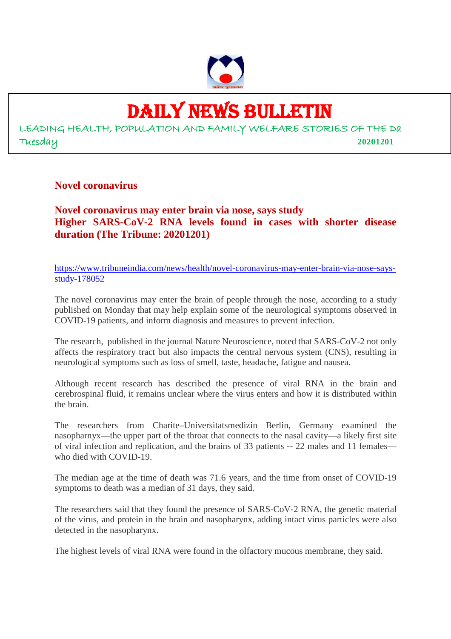

# DAILY NEWS BULLETIN

LEADING HEALTH, POPULATION AND FAMILY WELFARE STORIES OF THE Da Tuesday **20201201**

**Novel coronavirus**

**Novel coronavirus may enter brain via nose, says study Higher SARS-CoV-2 RNA levels found in cases with shorter disease duration (The Tribune: 20201201)**

https://www.tribuneindia.com/news/health/novel-coronavirus-may-enter-brain-via-nose-saysstudy-178052

The novel coronavirus may enter the brain of people through the nose, according to a study published on Monday that may help explain some of the neurological symptoms observed in COVID-19 patients, and inform diagnosis and measures to prevent infection.

The research, published in the journal Nature Neuroscience, noted that SARS-CoV-2 not only affects the respiratory tract but also impacts the central nervous system (CNS), resulting in neurological symptoms such as loss of smell, taste, headache, fatigue and nausea.

Although recent research has described the presence of viral RNA in the brain and cerebrospinal fluid, it remains unclear where the virus enters and how it is distributed within the brain.

The researchers from Charite–Universitatsmedizin Berlin, Germany examined the nasopharnyx—the upper part of the throat that connects to the nasal cavity—a likely first site of viral infection and replication, and the brains of 33 patients -- 22 males and 11 females who died with COVID-19.

The median age at the time of death was 71.6 years, and the time from onset of COVID-19 symptoms to death was a median of 31 days, they said.

The researchers said that they found the presence of SARS-CoV-2 RNA, the genetic material of the virus, and protein in the brain and nasopharynx, adding intact virus particles were also detected in the nasopharynx.

The highest levels of viral RNA were found in the olfactory mucous membrane, they said.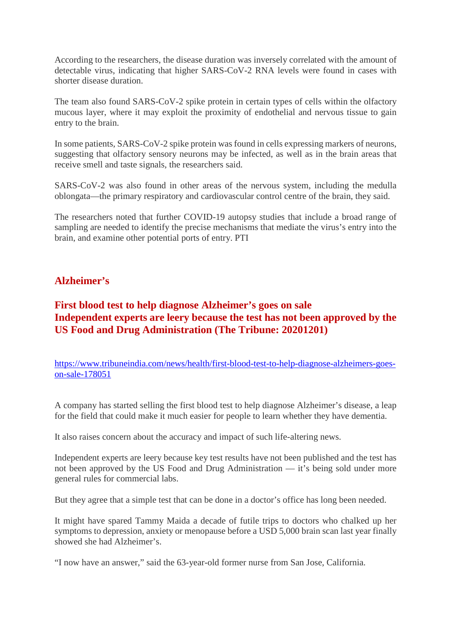According to the researchers, the disease duration was inversely correlated with the amount of detectable virus, indicating that higher SARS-CoV-2 RNA levels were found in cases with shorter disease duration.

The team also found SARS-CoV-2 spike protein in certain types of cells within the olfactory mucous layer, where it may exploit the proximity of endothelial and nervous tissue to gain entry to the brain.

In some patients, SARS-CoV-2 spike protein was found in cells expressing markers of neurons, suggesting that olfactory sensory neurons may be infected, as well as in the brain areas that receive smell and taste signals, the researchers said.

SARS-CoV-2 was also found in other areas of the nervous system, including the medulla oblongata—the primary respiratory and cardiovascular control centre of the brain, they said.

The researchers noted that further COVID-19 autopsy studies that include a broad range of sampling are needed to identify the precise mechanisms that mediate the virus's entry into the brain, and examine other potential ports of entry. PTI

# **Alzheimer's**

# **First blood test to help diagnose Alzheimer's goes on sale Independent experts are leery because the test has not been approved by the US Food and Drug Administration (The Tribune: 20201201)**

https://www.tribuneindia.com/news/health/first-blood-test-to-help-diagnose-alzheimers-goeson-sale-178051

A company has started selling the first blood test to help diagnose Alzheimer's disease, a leap for the field that could make it much easier for people to learn whether they have dementia.

It also raises concern about the accuracy and impact of such life-altering news.

Independent experts are leery because key test results have not been published and the test has not been approved by the US Food and Drug Administration — it's being sold under more general rules for commercial labs.

But they agree that a simple test that can be done in a doctor's office has long been needed.

It might have spared Tammy Maida a decade of futile trips to doctors who chalked up her symptoms to depression, anxiety or menopause before a USD 5,000 brain scan last year finally showed she had Alzheimer's.

"I now have an answer," said the 63-year-old former nurse from San Jose, California.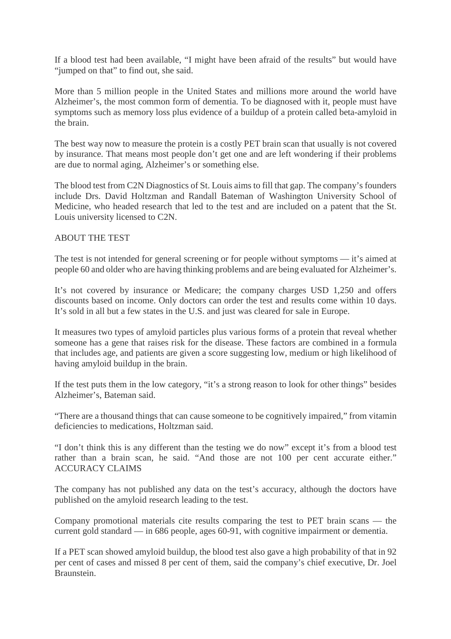If a blood test had been available, "I might have been afraid of the results" but would have "jumped on that" to find out, she said.

More than 5 million people in the United States and millions more around the world have Alzheimer's, the most common form of dementia. To be diagnosed with it, people must have symptoms such as memory loss plus evidence of a buildup of a protein called beta-amyloid in the brain.

The best way now to measure the protein is a costly PET brain scan that usually is not covered by insurance. That means most people don't get one and are left wondering if their problems are due to normal aging, Alzheimer's or something else.

The blood test from C2N Diagnostics of St. Louis aims to fill that gap. The company's founders include Drs. David Holtzman and Randall Bateman of Washington University School of Medicine, who headed research that led to the test and are included on a patent that the St. Louis university licensed to C2N.

#### ABOUT THE TEST

The test is not intended for general screening or for people without symptoms — it's aimed at people 60 and older who are having thinking problems and are being evaluated for Alzheimer's.

It's not covered by insurance or Medicare; the company charges USD 1,250 and offers discounts based on income. Only doctors can order the test and results come within 10 days. It's sold in all but a few states in the U.S. and just was cleared for sale in Europe.

It measures two types of amyloid particles plus various forms of a protein that reveal whether someone has a gene that raises risk for the disease. These factors are combined in a formula that includes age, and patients are given a score suggesting low, medium or high likelihood of having amyloid buildup in the brain.

If the test puts them in the low category, "it's a strong reason to look for other things" besides Alzheimer's, Bateman said.

"There are a thousand things that can cause someone to be cognitively impaired," from vitamin deficiencies to medications, Holtzman said.

"I don't think this is any different than the testing we do now" except it's from a blood test rather than a brain scan, he said. "And those are not 100 per cent accurate either." ACCURACY CLAIMS

The company has not published any data on the test's accuracy, although the doctors have published on the amyloid research leading to the test.

Company promotional materials cite results comparing the test to PET brain scans — the current gold standard — in 686 people, ages 60-91, with cognitive impairment or dementia.

If a PET scan showed amyloid buildup, the blood test also gave a high probability of that in 92 per cent of cases and missed 8 per cent of them, said the company's chief executive, Dr. Joel Braunstein.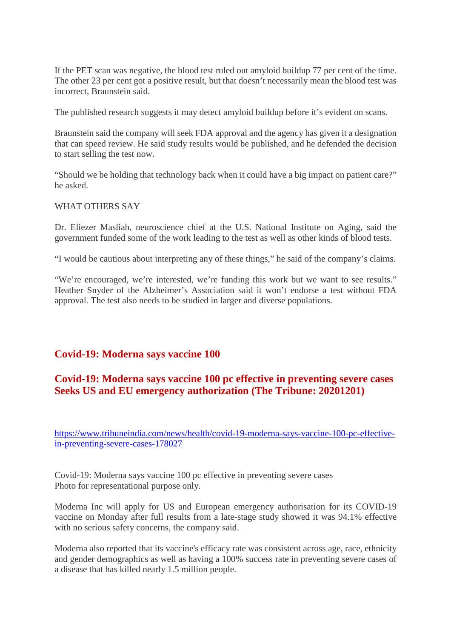If the PET scan was negative, the blood test ruled out amyloid buildup 77 per cent of the time. The other 23 per cent got a positive result, but that doesn't necessarily mean the blood test was incorrect, Braunstein said.

The published research suggests it may detect amyloid buildup before it's evident on scans.

Braunstein said the company will seek FDA approval and the agency has given it a designation that can speed review. He said study results would be published, and he defended the decision to start selling the test now.

"Should we be holding that technology back when it could have a big impact on patient care?" he asked.

#### WHAT OTHERS SAY

Dr. Eliezer Masliah, neuroscience chief at the U.S. National Institute on Aging, said the government funded some of the work leading to the test as well as other kinds of blood tests.

"I would be cautious about interpreting any of these things," he said of the company's claims.

"We're encouraged, we're interested, we're funding this work but we want to see results." Heather Snyder of the Alzheimer's Association said it won't endorse a test without FDA approval. The test also needs to be studied in larger and diverse populations.

#### **Covid-19: Moderna says vaccine 100**

# **Covid-19: Moderna says vaccine 100 pc effective in preventing severe cases Seeks US and EU emergency authorization (The Tribune: 20201201)**

https://www.tribuneindia.com/news/health/covid-19-moderna-says-vaccine-100-pc-effectivein-preventing-severe-cases-178027

Covid-19: Moderna says vaccine 100 pc effective in preventing severe cases Photo for representational purpose only.

Moderna Inc will apply for US and European emergency authorisation for its COVID-19 vaccine on Monday after full results from a late-stage study showed it was 94.1% effective with no serious safety concerns, the company said.

Moderna also reported that its vaccine's efficacy rate was consistent across age, race, ethnicity and gender demographics as well as having a 100% success rate in preventing severe cases of a disease that has killed nearly 1.5 million people.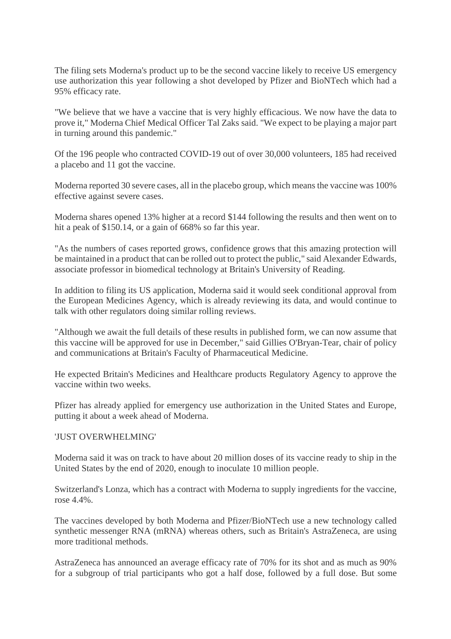The filing sets Moderna's product up to be the second vaccine likely to receive US emergency use authorization this year following a shot developed by Pfizer and BioNTech which had a 95% efficacy rate.

"We believe that we have a vaccine that is very highly efficacious. We now have the data to prove it," Moderna Chief Medical Officer Tal Zaks said. "We expect to be playing a major part in turning around this pandemic."

Of the 196 people who contracted COVID-19 out of over 30,000 volunteers, 185 had received a placebo and 11 got the vaccine.

Moderna reported 30 severe cases, all in the placebo group, which means the vaccine was 100% effective against severe cases.

Moderna shares opened 13% higher at a record \$144 following the results and then went on to hit a peak of \$150.14, or a gain of 668% so far this year.

"As the numbers of cases reported grows, confidence grows that this amazing protection will be maintained in a product that can be rolled out to protect the public," said Alexander Edwards, associate professor in biomedical technology at Britain's University of Reading.

In addition to filing its US application, Moderna said it would seek conditional approval from the European Medicines Agency, which is already reviewing its data, and would continue to talk with other regulators doing similar rolling reviews.

"Although we await the full details of these results in published form, we can now assume that this vaccine will be approved for use in December," said Gillies O'Bryan-Tear, chair of policy and communications at Britain's Faculty of Pharmaceutical Medicine.

He expected Britain's Medicines and Healthcare products Regulatory Agency to approve the vaccine within two weeks.

Pfizer has already applied for emergency use authorization in the United States and Europe, putting it about a week ahead of Moderna.

#### 'JUST OVERWHELMING'

Moderna said it was on track to have about 20 million doses of its vaccine ready to ship in the United States by the end of 2020, enough to inoculate 10 million people.

Switzerland's Lonza, which has a contract with Moderna to supply ingredients for the vaccine, rose 4.4%.

The vaccines developed by both Moderna and Pfizer/BioNTech use a new technology called synthetic messenger RNA (mRNA) whereas others, such as Britain's AstraZeneca, are using more traditional methods.

AstraZeneca has announced an average efficacy rate of 70% for its shot and as much as 90% for a subgroup of trial participants who got a half dose, followed by a full dose. But some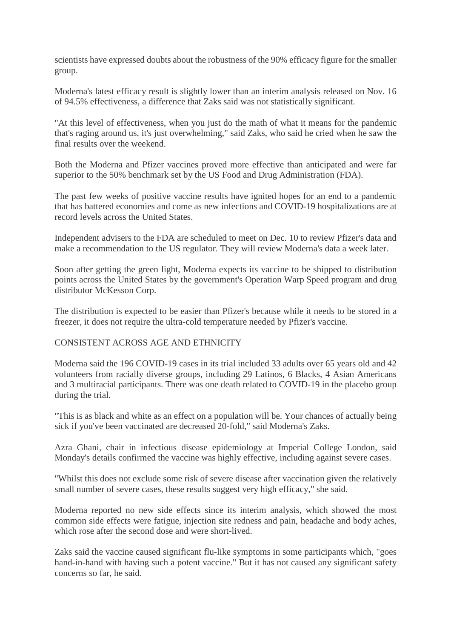scientists have expressed doubts about the robustness of the 90% efficacy figure for the smaller group.

Moderna's latest efficacy result is slightly lower than an interim analysis released on Nov. 16 of 94.5% effectiveness, a difference that Zaks said was not statistically significant.

"At this level of effectiveness, when you just do the math of what it means for the pandemic that's raging around us, it's just overwhelming," said Zaks, who said he cried when he saw the final results over the weekend.

Both the Moderna and Pfizer vaccines proved more effective than anticipated and were far superior to the 50% benchmark set by the US Food and Drug Administration (FDA).

The past few weeks of positive vaccine results have ignited hopes for an end to a pandemic that has battered economies and come as new infections and COVID-19 hospitalizations are at record levels across the United States.

Independent advisers to the FDA are scheduled to meet on Dec. 10 to review Pfizer's data and make a recommendation to the US regulator. They will review Moderna's data a week later.

Soon after getting the green light, Moderna expects its vaccine to be shipped to distribution points across the United States by the government's Operation Warp Speed program and drug distributor McKesson Corp.

The distribution is expected to be easier than Pfizer's because while it needs to be stored in a freezer, it does not require the ultra-cold temperature needed by Pfizer's vaccine.

#### CONSISTENT ACROSS AGE AND ETHNICITY

Moderna said the 196 COVID-19 cases in its trial included 33 adults over 65 years old and 42 volunteers from racially diverse groups, including 29 Latinos, 6 Blacks, 4 Asian Americans and 3 multiracial participants. There was one death related to COVID-19 in the placebo group during the trial.

"This is as black and white as an effect on a population will be. Your chances of actually being sick if you've been vaccinated are decreased 20-fold," said Moderna's Zaks.

Azra Ghani, chair in infectious disease epidemiology at Imperial College London, said Monday's details confirmed the vaccine was highly effective, including against severe cases.

"Whilst this does not exclude some risk of severe disease after vaccination given the relatively small number of severe cases, these results suggest very high efficacy," she said.

Moderna reported no new side effects since its interim analysis, which showed the most common side effects were fatigue, injection site redness and pain, headache and body aches, which rose after the second dose and were short-lived.

Zaks said the vaccine caused significant flu-like symptoms in some participants which, "goes hand-in-hand with having such a potent vaccine." But it has not caused any significant safety concerns so far, he said.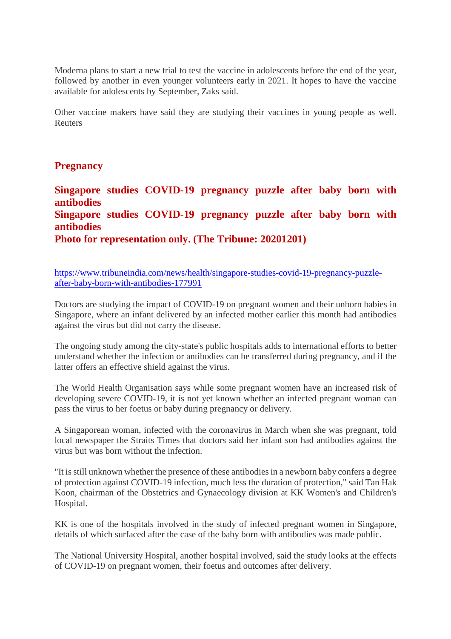Moderna plans to start a new trial to test the vaccine in adolescents before the end of the year, followed by another in even younger volunteers early in 2021. It hopes to have the vaccine available for adolescents by September, Zaks said.

Other vaccine makers have said they are studying their vaccines in young people as well. Reuters

#### **Pregnancy**

**Singapore studies COVID-19 pregnancy puzzle after baby born with antibodies Singapore studies COVID-19 pregnancy puzzle after baby born with antibodies Photo for representation only. (The Tribune: 20201201)**

https://www.tribuneindia.com/news/health/singapore-studies-covid-19-pregnancy-puzzleafter-baby-born-with-antibodies-177991

Doctors are studying the impact of COVID-19 on pregnant women and their unborn babies in Singapore, where an infant delivered by an infected mother earlier this month had antibodies against the virus but did not carry the disease.

The ongoing study among the city-state's public hospitals adds to international efforts to better understand whether the infection or antibodies can be transferred during pregnancy, and if the latter offers an effective shield against the virus.

The World Health Organisation says while some pregnant women have an increased risk of developing severe COVID-19, it is not yet known whether an infected pregnant woman can pass the virus to her foetus or baby during pregnancy or delivery.

A Singaporean woman, infected with the coronavirus in March when she was pregnant, told local newspaper the Straits Times that doctors said her infant son had antibodies against the virus but was born without the infection.

"It is still unknown whether the presence of these antibodies in a newborn baby confers a degree of protection against COVID-19 infection, much less the duration of protection," said Tan Hak Koon, chairman of the Obstetrics and Gynaecology division at KK Women's and Children's Hospital.

KK is one of the hospitals involved in the study of infected pregnant women in Singapore, details of which surfaced after the case of the baby born with antibodies was made public.

The National University Hospital, another hospital involved, said the study looks at the effects of COVID-19 on pregnant women, their foetus and outcomes after delivery.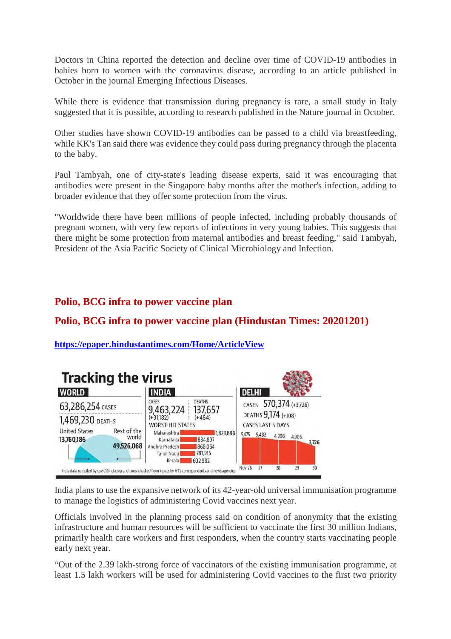Doctors in China reported the detection and decline over time of COVID-19 antibodies in babies born to women with the coronavirus disease, according to an article published in October in the journal Emerging Infectious Diseases.

While there is evidence that transmission during pregnancy is rare, a small study in Italy suggested that it is possible, according to research published in the Nature journal in October.

Other studies have shown COVID-19 antibodies can be passed to a child via breastfeeding, while KK's Tan said there was evidence they could pass during pregnancy through the placenta to the baby.

Paul Tambyah, one of city-state's leading disease experts, said it was encouraging that antibodies were present in the Singapore baby months after the mother's infection, adding to broader evidence that they offer some protection from the virus.

"Worldwide there have been millions of people infected, including probably thousands of pregnant women, with very few reports of infections in very young babies. This suggests that there might be some protection from maternal antibodies and breast feeding," said Tambyah, President of the Asia Pacific Society of Clinical Microbiology and Infection.

# **Polio, BCG infra to power vaccine plan**

**Polio, BCG infra to power vaccine plan (Hindustan Times: 20201201)**

**https://epaper.hindustantimes.com/Home/ArticleView**



India plans to use the expansive network of its 42-year-old universal immunisation programme to manage the logistics of administering Covid vaccines next year.

Officials involved in the planning process said on condition of anonymity that the existing infrastructure and human resources will be sufficient to vaccinate the first 30 million Indians, primarily health care workers and first responders, when the country starts vaccinating people early next year.

"Out of the 2.39 lakh-strong force of vaccinators of the existing immunisation programme, at least 1.5 lakh workers will be used for administering Covid vaccines to the first two priority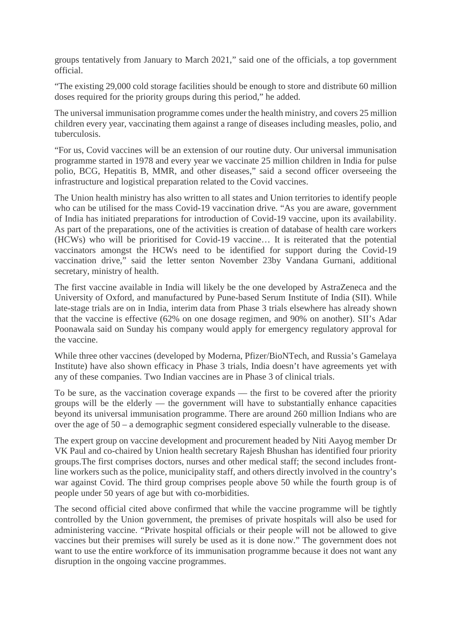groups tentatively from January to March 2021," said one of the officials, a top government official.

"The existing 29,000 cold storage facilities should be enough to store and distribute 60 million doses required for the priority groups during this period," he added.

The universal immunisation programme comes under the health ministry, and covers 25 million children every year, vaccinating them against a range of diseases including measles, polio, and tuberculosis.

"For us, Covid vaccines will be an extension of our routine duty. Our universal immunisation programme started in 1978 and every year we vaccinate 25 million children in India for pulse polio, BCG, Hepatitis B, MMR, and other diseases," said a second officer overseeing the infrastructure and logistical preparation related to the Covid vaccines.

The Union health ministry has also written to all states and Union territories to identify people who can be utilised for the mass Covid-19 vaccination drive. "As you are aware, government of India has initiated preparations for introduction of Covid-19 vaccine, upon its availability. As part of the preparations, one of the activities is creation of database of health care workers (HCWs) who will be prioritised for Covid-19 vaccine… It is reiterated that the potential vaccinators amongst the HCWs need to be identified for support during the Covid-19 vaccination drive," said the letter senton November 23by Vandana Gurnani, additional secretary, ministry of health.

The first vaccine available in India will likely be the one developed by AstraZeneca and the University of Oxford, and manufactured by Pune-based Serum Institute of India (SII). While late-stage trials are on in India, interim data from Phase 3 trials elsewhere has already shown that the vaccine is effective (62% on one dosage regimen, and 90% on another). SII's Adar Poonawala said on Sunday his company would apply for emergency regulatory approval for the vaccine.

While three other vaccines (developed by Moderna, Pfizer/BioNTech, and Russia's Gamelaya Institute) have also shown efficacy in Phase 3 trials, India doesn't have agreements yet with any of these companies. Two Indian vaccines are in Phase 3 of clinical trials.

To be sure, as the vaccination coverage expands — the first to be covered after the priority groups will be the elderly  $-$  the government will have to substantially enhance capacities beyond its universal immunisation programme. There are around 260 million Indians who are over the age of 50 – a demographic segment considered especially vulnerable to the disease.

The expert group on vaccine development and procurement headed by Niti Aayog member Dr VK Paul and co-chaired by Union health secretary Rajesh Bhushan has identified four priority groups.The first comprises doctors, nurses and other medical staff; the second includes frontline workers such as the police, municipality staff, and others directly involved in the country's war against Covid. The third group comprises people above 50 while the fourth group is of people under 50 years of age but with co-morbidities.

The second official cited above confirmed that while the vaccine programme will be tightly controlled by the Union government, the premises of private hospitals will also be used for administering vaccine. "Private hospital officials or their people will not be allowed to give vaccines but their premises will surely be used as it is done now." The government does not want to use the entire workforce of its immunisation programme because it does not want any disruption in the ongoing vaccine programmes.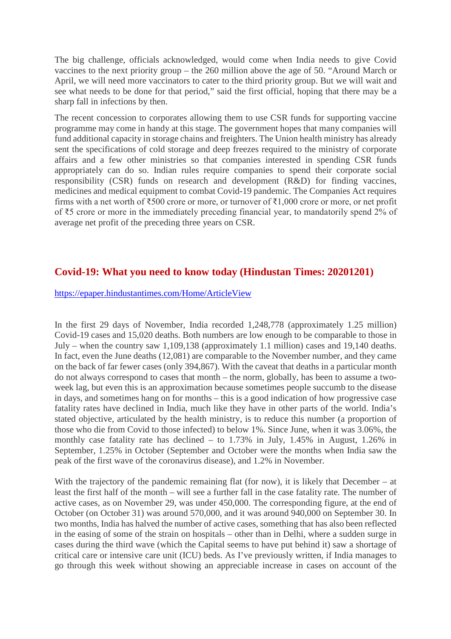The big challenge, officials acknowledged, would come when India needs to give Covid vaccines to the next priority group – the 260 million above the age of 50. "Around March or April, we will need more vaccinators to cater to the third priority group. But we will wait and see what needs to be done for that period," said the first official, hoping that there may be a sharp fall in infections by then.

The recent concession to corporates allowing them to use CSR funds for supporting vaccine programme may come in handy at this stage. The government hopes that many companies will fund additional capacity in storage chains and freighters. The Union health ministry has already sent the specifications of cold storage and deep freezes required to the ministry of corporate affairs and a few other ministries so that companies interested in spending CSR funds appropriately can do so. Indian rules require companies to spend their corporate social responsibility (CSR) funds on research and development (R&D) for finding vaccines, medicines and medical equipment to combat Covid-19 pandemic. The Companies Act requires firms with a net worth of ₹500 crore or more, or turnover of ₹1,000 crore or more, or net profit of ₹5 crore or more in the immediately preceding financial year, to mandatorily spend 2% of average net profit of the preceding three years on CSR.

# **Covid-19: What you need to know today (Hindustan Times: 20201201)**

https://epaper.hindustantimes.com/Home/ArticleView

In the first 29 days of November, India recorded 1,248,778 (approximately 1.25 million) Covid-19 cases and 15,020 deaths. Both numbers are low enough to be comparable to those in July – when the country saw 1,109,138 (approximately 1.1 million) cases and 19,140 deaths. In fact, even the June deaths (12,081) are comparable to the November number, and they came on the back of far fewer cases (only 394,867). With the caveat that deaths in a particular month do not always correspond to cases that month – the norm, globally, has been to assume a twoweek lag, but even this is an approximation because sometimes people succumb to the disease in days, and sometimes hang on for months – this is a good indication of how progressive case fatality rates have declined in India, much like they have in other parts of the world. India's stated objective, articulated by the health ministry, is to reduce this number (a proportion of those who die from Covid to those infected) to below 1%. Since June, when it was 3.06%, the monthly case fatality rate has declined – to 1.73% in July, 1.45% in August, 1.26% in September, 1.25% in October (September and October were the months when India saw the peak of the first wave of the coronavirus disease), and 1.2% in November.

With the trajectory of the pandemic remaining flat (for now), it is likely that December – at least the first half of the month – will see a further fall in the case fatality rate. The number of active cases, as on November 29, was under 450,000. The corresponding figure, at the end of October (on October 31) was around 570,000, and it was around 940,000 on September 30. In two months, India has halved the number of active cases, something that has also been reflected in the easing of some of the strain on hospitals – other than in Delhi, where a sudden surge in cases during the third wave (which the Capital seems to have put behind it) saw a shortage of critical care or intensive care unit (ICU) beds. As I've previously written, if India manages to go through this week without showing an appreciable increase in cases on account of the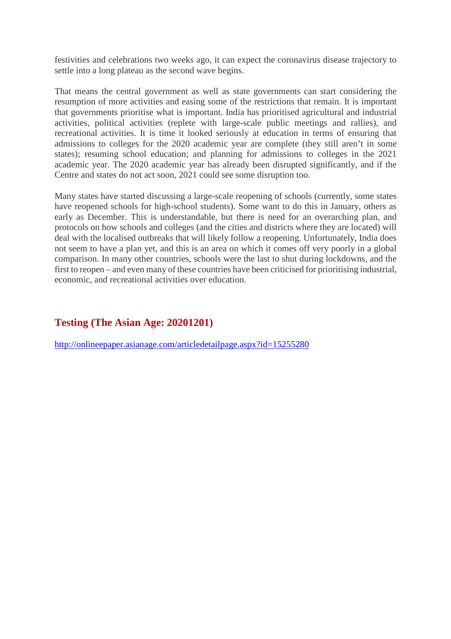festivities and celebrations two weeks ago, it can expect the coronavirus disease trajectory to settle into a long plateau as the second wave begins.

That means the central government as well as state governments can start considering the resumption of more activities and easing some of the restrictions that remain. It is important that governments prioritise what is important. India has prioritised agricultural and industrial activities, political activities (replete with large-scale public meetings and rallies), and recreational activities. It is time it looked seriously at education in terms of ensuring that admissions to colleges for the 2020 academic year are complete (they still aren't in some states); resuming school education; and planning for admissions to colleges in the 2021 academic year. The 2020 academic year has already been disrupted significantly, and if the Centre and states do not act soon, 2021 could see some disruption too.

Many states have started discussing a large-scale reopening of schools (currently, some states have reopened schools for high-school students). Some want to do this in January, others as early as December. This is understandable, but there is need for an overarching plan, and protocols on how schools and colleges (and the cities and districts where they are located) will deal with the localised outbreaks that will likely follow a reopening. Unfortunately, India does not seem to have a plan yet, and this is an area on which it comes off very poorly in a global comparison. In many other countries, schools were the last to shut during lockdowns, and the first to reopen – and even many of these countries have been criticised for prioritising industrial, economic, and recreational activities over education.

# **Testing (The Asian Age: 20201201)**

http://onlineepaper.asianage.com/articledetailpage.aspx?id=15255280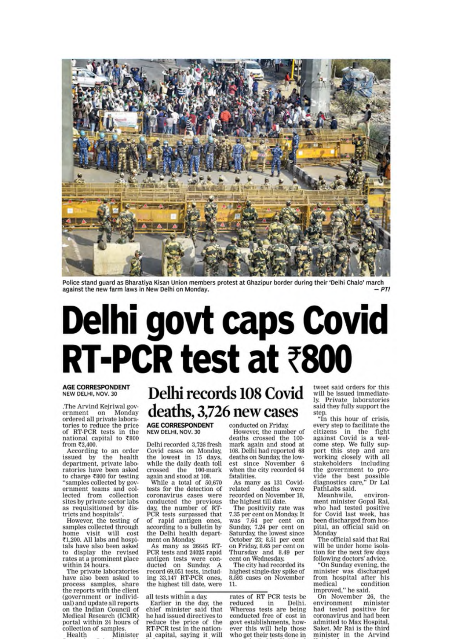

Police stand guard as Bharatiya Kisan Union members protest at Ghazipur border during their 'Delhi Chalo' march against the new farm laws in New Delhi on Monday.  $-PTI$ 

# **Delhi govt caps Covid** RT-PCR test at ₹800

#### **AGE CORRESPONDENT** NEW DELHI, NOV. 30

.The Arvind Kejriwal government on Monday<br>ordered all private labora-Monday tories to reduce the price of RT-PCR tests in the national capital to ₹800 from ₹2,400.

According to an order issued by the health department, private laboratories have been asked to charge ₹800 for testing "samples collected by government teams and collected from collection sites by private sector labs as requisitioned by districts and hospitals'

However, the testing of<br>samples collected through home visit will cost<br>₹1,200. All labs and hospitals have also been asked<br>to display the revised rates at a prominent place<br>within 24 hours.

The private laboratories have also been asked to process samples, share<br>the reports with the client (government or individual) and update all reports on the Indian Council of Medical Research (ICMR) portal within 24 hours of collection of samples.

Minister Health

# Delhi records 108 Covid deaths, 3,726 new cases

**AGE CORRESPONDENT** NEW DELHI, NOV. 30

Delhi recorded 3,726 fresh Covid cases on Monday, the lowest in 15 days, while the daily death toll crossed the 100-mark again and stood at 108.

While a total of 50,670<br>tests for the detection of coronavirus cases were<br>conducted the previous day, the number of RT-<br>PCR tests surpassed that of rapid antigen ones, according to a bulletin by the Delhi health department on Monday.

As many as 26645 RT-<br>PCR tests and 24025 rapid antigen tests were con-<br>ducted on Sunday. A record 69,051 tests, includ-<br>ing 33,147 RT-PCR ones, the highest till date, were

all tests within a day.

Earlier in the day, the chief minister said that he had issued directives to reduce the price of the RT-PCR test in the national capital, saying it will conducted on Friday.

However, the number of deaths crossed the 100mark again and stood at 108. Delhi had reported 68 deaths on Sunday, the lowest since November 6<br>when the city recorded 64 fatalities.

As many as 131 Coviddeaths related were recorded on November 18, the highest till date.

The positivity rate was<br>7.35 per cent on Monday. It 7.35 per cent on monage.<br>was 7.64 per cent on<br>Sunday, 7.24 per cent on<br>Saturday, the lowest since<br>October 23; 8.51 per cent of personal person per cent on<br>Thursday and 8.49 per cent on Wednesday.

The city had recorded its highest single-day spike of<br>8,593 cases on November 11.

rates of RT PCR tests be reduced in Delhi. Whereas tests are being conducted free of cost in govt establishments, however this will help those who get their tests done in

tweet said orders for this will be issued immediately. Private laboratories<br>said they fully support the

step.<br>"In this hour of crisis, every step to facilitate the citizens in the fight<br>against Covid is a welexame step. We fully support this step and are<br>port this step and are<br>working closely with all<br>stakeholders including the government to provide the best possible<br>diagnostics care," Dr Lal PathLabs said.

Meanhwile, environment minister Gopal Rai, who had tested positive<br>for Covid last week, has been discharged from hos-<br>pital, an official said on Monday

The official said that Rai will be under home isolation for the next few days following doctors' advice.

"On Sunday evening, the minister was discharged<br>from hospital after his medical condition improved," he said.

On November 26, the<br>nvironment minister environment had tested positive for<br>coronavirus and had been admitted to Max Hospital, Saket. Mr Rai is the third minister in the Arvind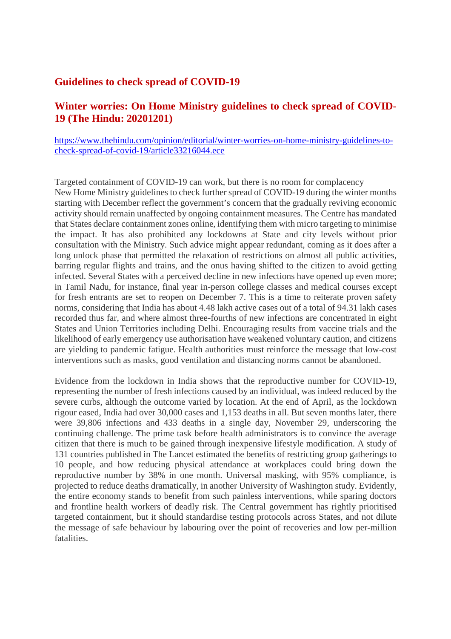# **Guidelines to check spread of COVID-19**

# **Winter worries: On Home Ministry guidelines to check spread of COVID-19 (The Hindu: 20201201)**

https://www.thehindu.com/opinion/editorial/winter-worries-on-home-ministry-guidelines-tocheck-spread-of-covid-19/article33216044.ece

Targeted containment of COVID-19 can work, but there is no room for complacency New Home Ministry guidelines to check further spread of COVID-19 during the winter months starting with December reflect the government's concern that the gradually reviving economic activity should remain unaffected by ongoing containment measures. The Centre has mandated that States declare containment zones online, identifying them with micro targeting to minimise the impact. It has also prohibited any lockdowns at State and city levels without prior consultation with the Ministry. Such advice might appear redundant, coming as it does after a long unlock phase that permitted the relaxation of restrictions on almost all public activities, barring regular flights and trains, and the onus having shifted to the citizen to avoid getting infected. Several States with a perceived decline in new infections have opened up even more; in Tamil Nadu, for instance, final year in-person college classes and medical courses except for fresh entrants are set to reopen on December 7. This is a time to reiterate proven safety norms, considering that India has about 4.48 lakh active cases out of a total of 94.31 lakh cases recorded thus far, and where almost three-fourths of new infections are concentrated in eight States and Union Territories including Delhi. Encouraging results from vaccine trials and the likelihood of early emergency use authorisation have weakened voluntary caution, and citizens are yielding to pandemic fatigue. Health authorities must reinforce the message that low-cost interventions such as masks, good ventilation and distancing norms cannot be abandoned.

Evidence from the lockdown in India shows that the reproductive number for COVID-19, representing the number of fresh infections caused by an individual, was indeed reduced by the severe curbs, although the outcome varied by location. At the end of April, as the lockdown rigour eased, India had over 30,000 cases and 1,153 deaths in all. But seven months later, there were 39,806 infections and 433 deaths in a single day, November 29, underscoring the continuing challenge. The prime task before health administrators is to convince the average citizen that there is much to be gained through inexpensive lifestyle modification. A study of 131 countries published in The Lancet estimated the benefits of restricting group gatherings to 10 people, and how reducing physical attendance at workplaces could bring down the reproductive number by 38% in one month. Universal masking, with 95% compliance, is projected to reduce deaths dramatically, in another University of Washington study. Evidently, the entire economy stands to benefit from such painless interventions, while sparing doctors and frontline health workers of deadly risk. The Central government has rightly prioritised targeted containment, but it should standardise testing protocols across States, and not dilute the message of safe behaviour by labouring over the point of recoveries and low per-million fatalities.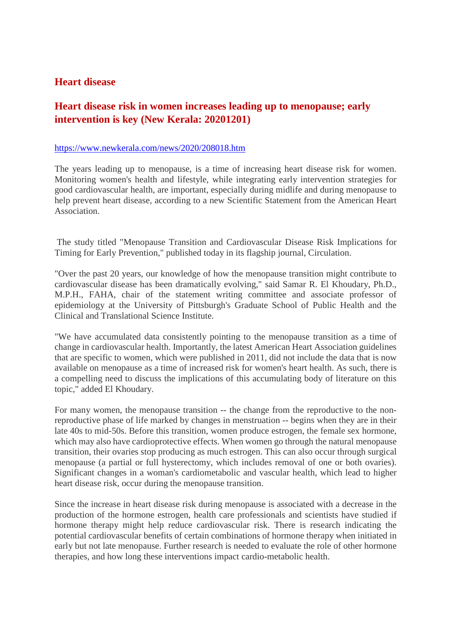# **Heart disease**

# **Heart disease risk in women increases leading up to menopause; early intervention is key (New Kerala: 20201201)**

#### https://www.newkerala.com/news/2020/208018.htm

The years leading up to menopause, is a time of increasing heart disease risk for women. Monitoring women's health and lifestyle, while integrating early intervention strategies for good cardiovascular health, are important, especially during midlife and during menopause to help prevent heart disease, according to a new Scientific Statement from the American Heart Association.

The study titled "Menopause Transition and Cardiovascular Disease Risk Implications for Timing for Early Prevention," published today in its flagship journal, Circulation.

"Over the past 20 years, our knowledge of how the menopause transition might contribute to cardiovascular disease has been dramatically evolving," said Samar R. El Khoudary, Ph.D., M.P.H., FAHA, chair of the statement writing committee and associate professor of epidemiology at the University of Pittsburgh's Graduate School of Public Health and the Clinical and Translational Science Institute.

"We have accumulated data consistently pointing to the menopause transition as a time of change in cardiovascular health. Importantly, the latest American Heart Association guidelines that are specific to women, which were published in 2011, did not include the data that is now available on menopause as a time of increased risk for women's heart health. As such, there is a compelling need to discuss the implications of this accumulating body of literature on this topic," added El Khoudary.

For many women, the menopause transition -- the change from the reproductive to the nonreproductive phase of life marked by changes in menstruation -- begins when they are in their late 40s to mid-50s. Before this transition, women produce estrogen, the female sex hormone, which may also have cardioprotective effects. When women go through the natural menopause transition, their ovaries stop producing as much estrogen. This can also occur through surgical menopause (a partial or full hysterectomy, which includes removal of one or both ovaries). Significant changes in a woman's cardiometabolic and vascular health, which lead to higher heart disease risk, occur during the menopause transition.

Since the increase in heart disease risk during menopause is associated with a decrease in the production of the hormone estrogen, health care professionals and scientists have studied if hormone therapy might help reduce cardiovascular risk. There is research indicating the potential cardiovascular benefits of certain combinations of hormone therapy when initiated in early but not late menopause. Further research is needed to evaluate the role of other hormone therapies, and how long these interventions impact cardio-metabolic health.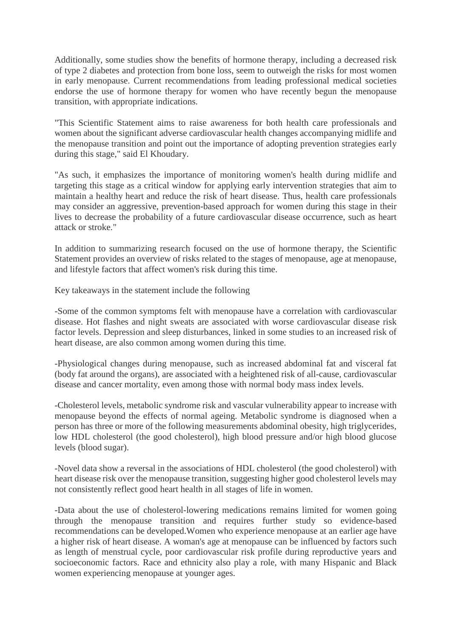Additionally, some studies show the benefits of hormone therapy, including a decreased risk of type 2 diabetes and protection from bone loss, seem to outweigh the risks for most women in early menopause. Current recommendations from leading professional medical societies endorse the use of hormone therapy for women who have recently begun the menopause transition, with appropriate indications.

"This Scientific Statement aims to raise awareness for both health care professionals and women about the significant adverse cardiovascular health changes accompanying midlife and the menopause transition and point out the importance of adopting prevention strategies early during this stage," said El Khoudary.

"As such, it emphasizes the importance of monitoring women's health during midlife and targeting this stage as a critical window for applying early intervention strategies that aim to maintain a healthy heart and reduce the risk of heart disease. Thus, health care professionals may consider an aggressive, prevention-based approach for women during this stage in their lives to decrease the probability of a future cardiovascular disease occurrence, such as heart attack or stroke."

In addition to summarizing research focused on the use of hormone therapy, the Scientific Statement provides an overview of risks related to the stages of menopause, age at menopause, and lifestyle factors that affect women's risk during this time.

Key takeaways in the statement include the following

-Some of the common symptoms felt with menopause have a correlation with cardiovascular disease. Hot flashes and night sweats are associated with worse cardiovascular disease risk factor levels. Depression and sleep disturbances, linked in some studies to an increased risk of heart disease, are also common among women during this time.

-Physiological changes during menopause, such as increased abdominal fat and visceral fat (body fat around the organs), are associated with a heightened risk of all-cause, cardiovascular disease and cancer mortality, even among those with normal body mass index levels.

-Cholesterol levels, metabolic syndrome risk and vascular vulnerability appear to increase with menopause beyond the effects of normal ageing. Metabolic syndrome is diagnosed when a person has three or more of the following measurements abdominal obesity, high triglycerides, low HDL cholesterol (the good cholesterol), high blood pressure and/or high blood glucose levels (blood sugar).

-Novel data show a reversal in the associations of HDL cholesterol (the good cholesterol) with heart disease risk over the menopause transition, suggesting higher good cholesterol levels may not consistently reflect good heart health in all stages of life in women.

-Data about the use of cholesterol-lowering medications remains limited for women going through the menopause transition and requires further study so evidence-based recommendations can be developed.Women who experience menopause at an earlier age have a higher risk of heart disease. A woman's age at menopause can be influenced by factors such as length of menstrual cycle, poor cardiovascular risk profile during reproductive years and socioeconomic factors. Race and ethnicity also play a role, with many Hispanic and Black women experiencing menopause at younger ages.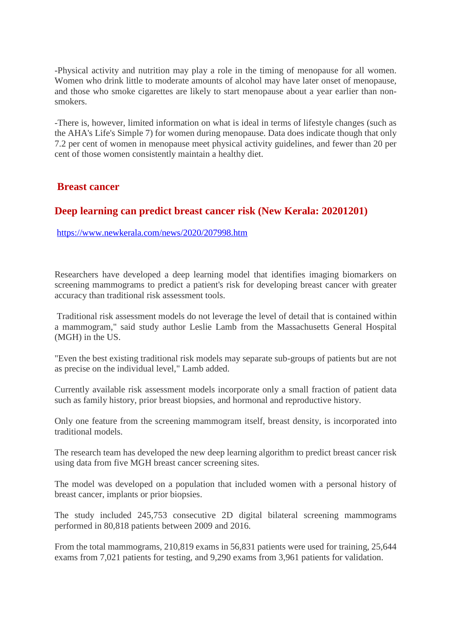-Physical activity and nutrition may play a role in the timing of menopause for all women. Women who drink little to moderate amounts of alcohol may have later onset of menopause, and those who smoke cigarettes are likely to start menopause about a year earlier than nonsmokers.

-There is, however, limited information on what is ideal in terms of lifestyle changes (such as the AHA's Life's Simple 7) for women during menopause. Data does indicate though that only 7.2 per cent of women in menopause meet physical activity guidelines, and fewer than 20 per cent of those women consistently maintain a healthy diet.

# **Breast cancer**

# **Deep learning can predict breast cancer risk (New Kerala: 20201201)**

https://www.newkerala.com/news/2020/207998.htm

Researchers have developed a deep learning model that identifies imaging biomarkers on screening mammograms to predict a patient's risk for developing breast cancer with greater accuracy than traditional risk assessment tools.

Traditional risk assessment models do not leverage the level of detail that is contained within a mammogram," said study author Leslie Lamb from the Massachusetts General Hospital (MGH) in the US.

"Even the best existing traditional risk models may separate sub-groups of patients but are not as precise on the individual level," Lamb added.

Currently available risk assessment models incorporate only a small fraction of patient data such as family history, prior breast biopsies, and hormonal and reproductive history.

Only one feature from the screening mammogram itself, breast density, is incorporated into traditional models.

The research team has developed the new deep learning algorithm to predict breast cancer risk using data from five MGH breast cancer screening sites.

The model was developed on a population that included women with a personal history of breast cancer, implants or prior biopsies.

The study included 245,753 consecutive 2D digital bilateral screening mammograms performed in 80,818 patients between 2009 and 2016.

From the total mammograms, 210,819 exams in 56,831 patients were used for training, 25,644 exams from 7,021 patients for testing, and 9,290 exams from 3,961 patients for validation.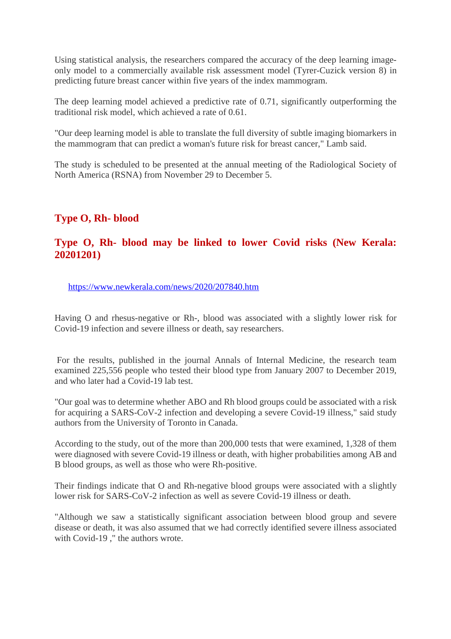Using statistical analysis, the researchers compared the accuracy of the deep learning imageonly model to a commercially available risk assessment model (Tyrer-Cuzick version 8) in predicting future breast cancer within five years of the index mammogram.

The deep learning model achieved a predictive rate of 0.71, significantly outperforming the traditional risk model, which achieved a rate of 0.61.

"Our deep learning model is able to translate the full diversity of subtle imaging biomarkers in the mammogram that can predict a woman's future risk for breast cancer," Lamb said.

The study is scheduled to be presented at the annual meeting of the Radiological Society of North America (RSNA) from November 29 to December 5.

# **Type O, Rh- blood**

# **Type O, Rh- blood may be linked to lower Covid risks (New Kerala: 20201201)**

https://www.newkerala.com/news/2020/207840.htm

Having O and rhesus-negative or Rh-, blood was associated with a slightly lower risk for Covid-19 infection and severe illness or death, say researchers.

For the results, published in the journal Annals of Internal Medicine, the research team examined 225,556 people who tested their blood type from January 2007 to December 2019, and who later had a Covid-19 lab test.

"Our goal was to determine whether ABO and Rh blood groups could be associated with a risk for acquiring a SARS-CoV-2 infection and developing a severe Covid-19 illness," said study authors from the University of Toronto in Canada.

According to the study, out of the more than 200,000 tests that were examined, 1,328 of them were diagnosed with severe Covid-19 illness or death, with higher probabilities among AB and B blood groups, as well as those who were Rh-positive.

Their findings indicate that O and Rh-negative blood groups were associated with a slightly lower risk for SARS-CoV-2 infection as well as severe Covid-19 illness or death.

"Although we saw a statistically significant association between blood group and severe disease or death, it was also assumed that we had correctly identified severe illness associated with Covid-19," the authors wrote.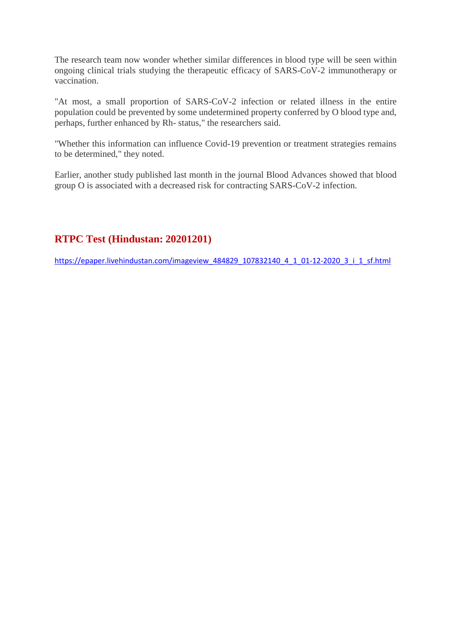The research team now wonder whether similar differences in blood type will be seen within ongoing clinical trials studying the therapeutic efficacy of SARS-CoV-2 immunotherapy or vaccination.

"At most, a small proportion of SARS-CoV-2 infection or related illness in the entire population could be prevented by some undetermined property conferred by O blood type and, perhaps, further enhanced by Rh- status," the researchers said.

"Whether this information can influence Covid-19 prevention or treatment strategies remains to be determined," they noted.

Earlier, another study published last month in the journal Blood Advances showed that blood group O is associated with a decreased risk for contracting SARS-CoV-2 infection.

# **RTPC Test (Hindustan: 20201201)**

https://epaper.livehindustan.com/imageview\_484829\_107832140\_4\_1\_01-12-2020\_3\_i\_1\_sf.html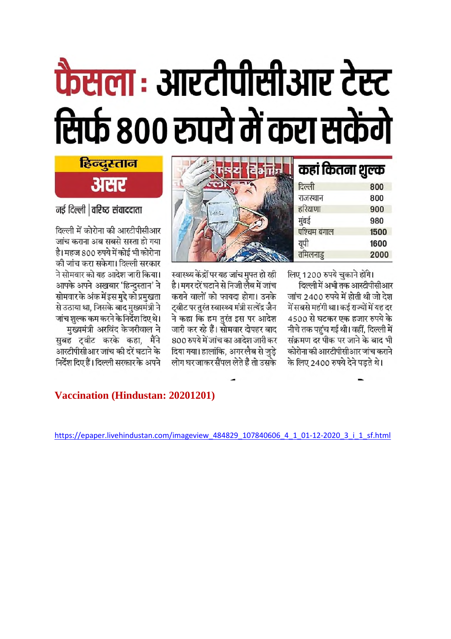# फैसला : आरटीपीसीआर टेस्ट सिर्फ 800 रूपये में करा सकेंगे

# कहां कितना शुल्क

| दिल्ली       | 800  |
|--------------|------|
| राजस्थान     | 800  |
| हरियाणा      | 900  |
| मुंबई        | 980  |
| पश्चिम बंगाल | 1500 |
| यूपी         | 1600 |
| तमिलनाडु     | 2000 |
|              |      |

लिए 1200 रुपये चुकाने होंगे। दिल्ली में अभी तक आरटीपीसीआर जांच 2400 रुपये में होती थी जो देश में सबसे महंगी था। कई राज्यों में यह दर 4500 से घटकर एक हजार रुपये के नीचे तक पहुंच गई थी। वहीं, दिल्ली में संक्रमण दर पीक पर जाने के बाद भी कोरोना की आरटीपीसीआर जांच कराने के लिए 2400 रुपये देने पड़ते थे।



स्वास्थ्य केंद्रों पर यह जांच मुफ्त हो रही है। मगर दरें घटाने से निजी लैब में जांच कराने वालों को फायदा होगा। उनके ट्वीट पर तुरंत स्वास्थ्य मंत्री सत्येंद्र जैन ने कहा कि हम तुरंत इस पर आदेश जारी कर रहे हैं। सोमवार दोपहर बाद 800 रुपये में जांच का आदेश जारी कर दिया गया। हालांकि, अगर लैब से जुड़े लोग घर जाकर सैंपल लेते हैं तो उसके

असर

हिन्दुस्तान

नई दिल्ली | वरिष्ट संवाददाता

दिल्ली में कोरोना की आरटीपीसीआर जांच कराना अब सबसे सस्ता हो गया है। महज 800 रुपये में कोई भी कोरोना की जांच करा सकेगा। दिल्ली सरकार ने सोमवार को यह आदेश जारी किया। आपके अपने अखबार 'हिन्दुस्तान' ने सोमवार के अंक में इस मुद्दे को प्रमुखता से उठाया था, जिसके बाद मुख्यमंत्री ने जांच शुल्क कम करने के निर्देश दिए थे। मुख्यमंत्री अरविंद केजरीवाल ने

सुबह ट्वीट करके कहा, मैंने आरटीपीसीआर जांच की दरें घटाने के निर्देश दिए हैं। दिल्ली सरकार के अपने

#### Vaccination (Hindustan: 20201201)

https://epaper.livehindustan.com/imageview 484829 107840606 4 1 01-12-2020 3 i 1 sf.html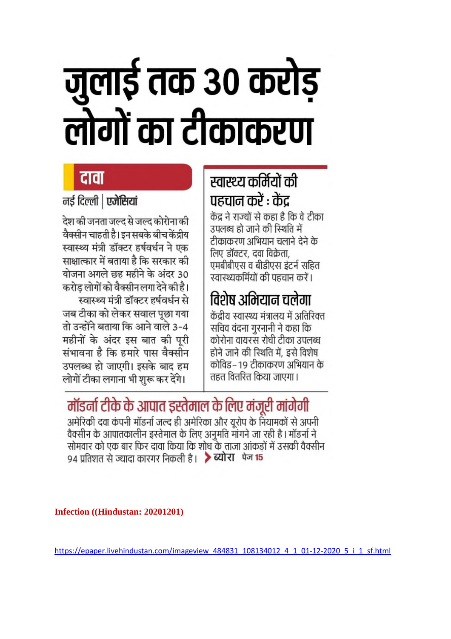# जुलाई तक 30 करोड़<br>लोगों का टीकाकरण

# दावा

# नई दिल्ली | एजेंसियां

देश की जनता जल्द से जल्द कोरोना की वैक्सीन चाहती है। इन सबके बीच केंद्रीय स्वास्थ्य मंत्री डॉक्टर हर्षवर्धन ने एक साक्षात्कार में बताया है कि सरकार की योजना अगले छह महीने के अंदर 30 करोड लोगों को वैक्सीन लगा देने की है। स्वास्थ्य मंत्री डॉक्टर हर्षवर्धन से जब टीका को लेकर सवाल पूछा गया तो उन्होंने बताया कि आने वाले 3-4 महीनों के अंदर इस बात की पूरी संभावना है कि हमारे पास वैक्सीन उपलब्ध हो जाएगी। इसके बाद हम लोगों टीका लगाना भी शुरू कर देंगे।

# स्वास्थ्य कर्मियों की पहचान करें : केंद्र

केंद्र ने राज्यों से कहा है कि वे टीका उपलब्ध हो जाने की स्थिति में टीकाकरण अभियान चलाने देने के लिए डॉक्टर, दवा विक्रेता. एमबीबीएस व बीडीएस इंटर्न सहित स्वास्थ्यकर्मियों की पहचान करें।

# विशेष अभियान चलेगा

केंद्रीय स्वास्थ्य मंत्रालय में अतिरिक्त सचिव वंदना गुरनानी ने कहा कि कोरोना वायरस रोधी टीका उपलब्ध होने जाने की स्थिति में, इसे विशेष कोविड–19 टीकाकरण अभियान के तहत वितरित किया जाएगा।

मॉडर्ना टीके के आपात इस्तेमाल के लिए मंजूरी मांगेगी अमेरिकी दवा कंपनी मॉडर्ना जल्द ही अमेरिका और यूरोप के नियामकों से अपनी वैक्सीन के आपातकालीन इस्तेमाल के लिए अनुमति मांगने जा रही है। मॉडर्ना ने सोमवार को एक बार फिर दावा किया कि शोध के ताजा आंकड़ों में उसकी वैक्सीन 94 प्रतिशत से ज्यादा कारगर निकली है। > ब्योरा पेज 15

Infection ((Hindustan: 20201201)

https://epaper.livehindustan.com/imageview 484831 108134012 4 1 01-12-2020 5 i 1 sf.html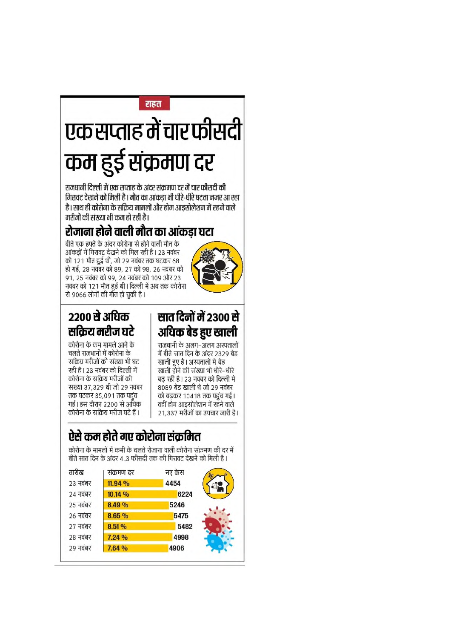# राहत एक सप्ताह में चार फीसदी कम हुई संक्रमण दर

राजधानी दिल्ली में एक सप्ताह के अंदर संक्रमण दर में चार फीसदी की गिरावट देखने को मिली है। मौत का आंकडा भी धीरे-धीरे घटता नजर आ रहा है। साथ ही कोरोना के सकिय मामलों और होम आडसोलेशन में रहने वाले मरीजों की संख्या भी कम हो रही है।

# रोजाना होने वाली मौत का आंकड़ा घटा

बीते एक हफ्ते के अंदर कोरोना से होने वाली मौत के आंकड़ों में गिरावट देखने को मिल रही है। 23 नवंबर को 121 मौत हुई थी, जो 29 नवंबर तक घटकर 68 हो गई, 28 नवंबर को 89, 27 को 98, 26 नवंबर को 91, 25 नवंबर को 99, 24 नवंबर को 109 और 23 नवंबर को 121 मौत हुई थी। दिल्ली में अब तक कोरोना से 9066 लोगों की मौत हो चुकी है।



# 2200 से अधिक सकिय मरीज घटे

कोरोना के कम मामले आने के चलते राजधानी में कोरोना के सक्रिय मरीजों की संख्या भी घट रही है। 23 नवंबर को दिल्ली में कोरोना के सक्रिय मरीजों की संख्या 37,329 थी जो 29 नवंबर तक घटकर 35,091 तक पहुंच गई। इस दौरान 2200 से अधिक कोरोना के सक्रिय मरीज घटे हैं।

# सात दिनों में २३०० से अधिक बेड हुए खाली

राजधानी के अलग-अलग अस्पतालों में बीते सात दिन के अंदर 2329 बेड खाली हुए है। अस्पतालों में बेड खाली होने की संख्या भी धीरे–धीरे बढ रही है। 23 नवंबर को दिल्ली में 8089 बेड खाली थे जो 29 नवंबर को बढ़कर 10418 तक पहुंच गई। वहीं होम आइसोलेशन में रहने वाले 21,337 मरीजों का उपचार जारी है।

# ऐसे कम होते गए कोरोना संकमित

कोरोना के मामलों में कमी के चलते रोजाना वाली कोरोना संक्रमण की दर में बीते सात दिन के अंदर 4.3 फीसदी तक की गिरावट देखने को मिली है ।

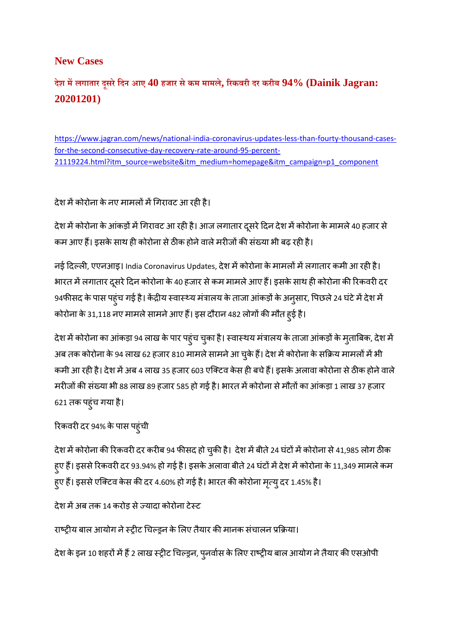# **New Cases**

**देश मलगातार दूसरेिदन आए 40 हजार सेकम मामले, रकवरी दर करीब 94% (Dainik Jagran: 20201201)**

https://www.jagran.com/news/national-india-coronavirus-updates-less-than-fourty-thousand-casesfor-the-second-consecutive-day-recovery-rate-around-95-percent-21119224.html?itm\_source=website&itm\_medium=homepage&itm\_campaign=p1\_component

देश में कोरोना के नए मामलों में गिरावट आ रही है।

देश में कोरोना के आंकड़ों में गिरावट आ रही है। आज लगातार दूसरे दिन देश में कोरोना के मामले 40 हजार से कम आए हैं। इसके साथ ही कोरोना से ठीक होने वाले मरीजों की संख्या भी बढ़ रही है।

नई दिल्ली, एएनआइ। India Coronavirus Updates, देश में कोरोना के मामलों में लगातार कमी आ रही है। भारत में लगातार दूसरे दिन कोरोना के 40 हजार से कम मामले आए हैं। इसके साथ ही कोरोना की रिकवरी दर 94फीसद के पास पहुंच गई है। केंद्रीय स्वास्थ्य मंत्रालय के ताजा आंकड़ों के अनुसार, पिछले 24 घंटे में देश में कोरोना के 31,118 नए मामले सामने आए हैं। इस दौरान 482 लोगों की मौत हुई है।

देश में कोरोना का आंकड़ा 94 लाख के पार पहुंच चुका है। स्वास्थय मंत्रालय के ताजा आंकड़ों के मुताबिक, देश में अब तक कोरोना के 94 लाख 62 हजार 810 मामले सामने आ चुके हैं। देश में कोरोना के सक्रिय मामलों में भी कमी आ रही है। देश में अब 4 लाख 35 हजार 603 एक्टिव केस ही बचे हैं। इसके अलावा कोरोना से ठीक होने वाले मरीजों की संख्या भी 88 लाख 89 हजार 585 हो गई है। भारत में कोरोना से मौतों का आंकड़ा 1 लाख 37 हजार 621 तक पहुंच गया है।

रिकवरी दर 94% के पास पहुंची

देश में कोरोना की रिकवरी दर करीब 94 फीसद हो चुकी है। देश में बीते 24 घंटों में कोरोना से 41,985 लोग ठीक हुए हैं। इससे रिकवरी दर 93.94% हो गई है। इसके अलावा बीते 24 घंटों में देश में कोरोना के 11,349 मामले कम हुए हैं। इससे एक्टिव केस की दर 4.60% हो गई है। भारत की कोरोना मृत्यु दर 1.45% है।

देश में अब तक 14 करोड़ से ज्यादा कोरोना टेस्ट

राष्ट्रीय बाल आयोग ने स्ट्रीट चिल्ड़न के लिए तैयार की मानक संचालन प्रक्रिया।

देश के इन 10 शहरों में हैं 2 लाख स्ट्रीट चिल्ड्रन, पुनर्वास के लिए राष्ट्रीय बाल आयोग ने तैयार की एसओपी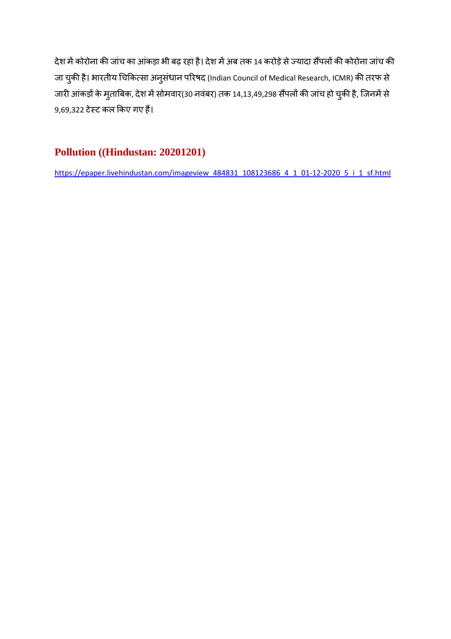देश में कोरोना की जांच का आंकड़ा भी बढ़ रहा है। देश में अब तक 14 करोड़े से ज्यादा सैंपलों की कोरोना जांच की जा चुकी है। भारतीय चिकित्सा अनुसंधान परिषद (Indian Council of Medical Research, ICMR) की तरफ से जारी आंकड़ों के मुताबिक, देश में सोमवार(30 नवंबर) तक 14,13,49,298 सैंपलों की जांच हो चुकी है, जिनमें से 9,69,322 टेट कल कए गए ह।

# **Pollution ((Hindustan: 20201201)**

https://epaper.livehindustan.com/imageview\_484831\_108123686\_4\_1\_01-12-2020\_5\_i\_1\_sf.html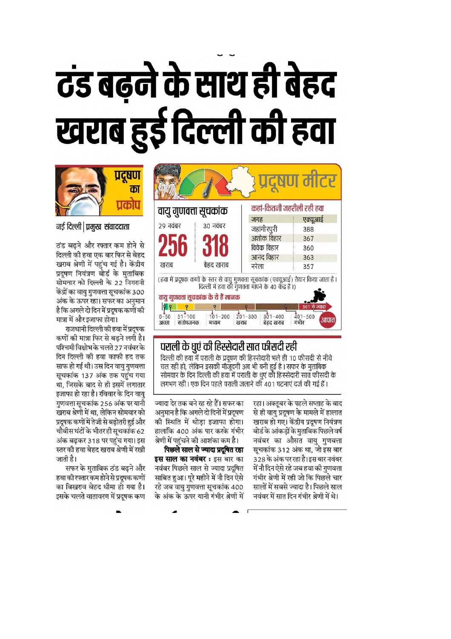# टंड बढ़ने के साथ ही बेहद खराब हुई दिल्ली की हवा



# पराली के धुएं की हिस्सेदारी सात फीसदी रही

दिल्ली की हवा में पराली के प्रदूषण की हिस्सेदारी भले ही 10 फीसदी से नीचे चल रही हो, लेकिन इसकी मौजूदगी अब भी बनी हुई है । सफर के मुताबिक सोमवार के दिन दिल्ली की हवा में पराली के धूएं की हिस्सेदारी सात फीसदी के लगभग रही। एक दिन पहले पराली जलाने की 401 घटनाएं दर्ज की गई हैं।

ज्यादा देर तक बने रह रहे हैं। सफर का अनुमान है कि अगले दो दिनों में प्रदुषण की स्थिति में थोडा इजाफा होगा। हालांकि 400 अंक पार करके गंभीर श्रेणी में पहुंचने की आशंका कम है।

पिछले साल से ज्यादा प्रदूषित रहा इस साल का नवंबर : इस बार का नवंबर पिछले साल से ज्यादा प्रदूषित साबित हुआ। परे महीने में नौ दिन ऐसे रहे जब वायु गुणवत्ता सूचकांक 400 के अंक के ऊपर यानी गंभीर श्रेणी में

रहा। अक्तूबर के पहले सप्ताह के बाद से ही वायु प्रदूषण के मामले में हालात खराब हो गए। केंद्रीय प्रदषण नियंत्रण बोर्ड के आंकड़ों के मुताबिक पिछले वर्ष नवंबर का औसत वायु गुणवत्ता सूचकांक 312 अंक था, जो इस बार 328 के अंक पर रहा है। इस बार नवंबर में नौ दिन ऐसे रहे जब हवा की गुणवत्ता गंभीर श्रेणी में रही जो कि पिछले चार सालों में सबसे ज्यादा है। पिछले साल नवंबर में सात दिन गंभीर श्रेणी में थे।



नई दिल्ली | प्रमुख संवाददाता

ठंड बढ़ने और रफ्तार कम होने से दिल्ली की हवा एक बार फिर से बेहद खराब श्रेणी में पहुंच गई है। केंद्रीय प्रदूषण नियंत्रण बोर्ड के मुताबिक सोमवार को दिल्ली के 22 निगरानी केंद्रों का वायु गुणवत्ता सूचकांक 300 अंक के ऊपर रहा। सफर का अनुमान है कि अगले दो दिन में प्रदूषक कणों की मात्रा में और इजाफा होगा।

राजधानी दिल्ली की हवा में प्रदषक कणों की मात्रा फिर से बढने लगी है। पश्चिमी विक्षोभ के चलते 27 नवंबर के दिन दिल्ली की हवा काफी हद तक साफ हो गई थी। उस दिन वायु गुणवत्ता सूचकांक 137 अंक तक पहुंच गया था, जिसके बाद से ही इसमें लगातार इजाफा हो रहा है। रविवार के दिन वायु गणवत्ता सूचकांक 256 अंक पर यानी खराब श्रेणी में था, लेकिन सोमवार को प्रदषक कणों में तेजी से बढोतरी हई और चौबीस घंटों के भीतर ही सूचकांक 62 अंक बढ़कर 318 पर पहुंच गया। इस स्तर की हवा बेहद खराब श्रेणी में रखी जाती है।

सफर के मुताबिक ठंड बढ़ने और हवा की रफ्तार कम होने से प्रदुषक कणों का बिखराव बेहद धीमा हो गया है। इसके चलते वातावरण में प्रदूषक कण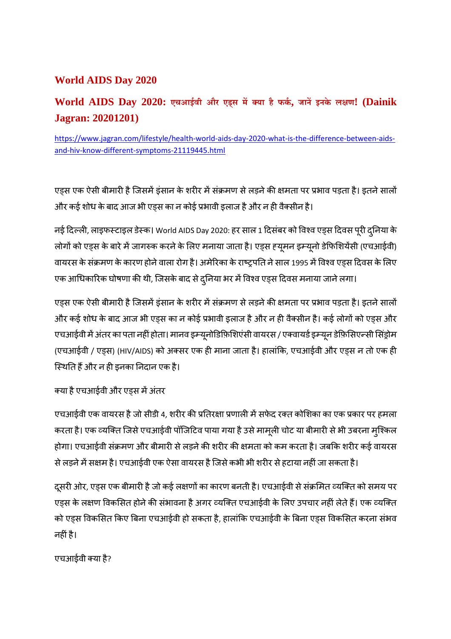# **World AIDS Day 2020**

# **World AIDS Day 2020: एचआईवी और एड्स मया हैफक, जानइनके लण! (Dainik Jagran: 20201201)**

https://www.jagran.com/lifestyle/health-world-aids-day-2020-what-is-the-difference-between-aidsand-hiv-know-different-symptoms-21119445.html

एड़स एक ऐसी बीमारी है जिसमें इंसान के शरीर में संक्रमण से लड़ने की क्षमता पर प्रभाव पड़ता है। इतने सालों और कई शोध के बाद आज भी एड्स का न कोई प्रभावी इलाज है और न ही वैक्सीन है।

नई दिल्ली, लाइफस्टाइल डेस्क। World AIDS Day 2020: हर साल 1 दिसंबर को विश्व एड्स दिवस पूरी दुनिया के लोगों को एड्स के बारे में जागरुक करने के लिए मनाया जाता है। एड्स ह्यूमन इम्यूनो डेफिशियेंसी (एचआईवी) वायरस के संक्रमण के कारण होने वाला रोग है। अमेरिका के राष्ट्रपति ने साल 1995 में विश्व एड्स दिवस के लिए एक आधिकारिक घोषणा की थी, जिसके बाद से दुनिया भर में विश्व एड्स दिवस मनाया जाने लगा।

एड़स एक ऐसी बीमारी है जिसमें इंसान के शरीर में संक्रमण से लड़ने की क्षमता पर प्रभाव पड़ता है। इतने सालों और कई शोध के बाद आज भी एड्स का न कोई प्रभावी इलाज है और न ही वैक्सीन है। कई लोगों को एड्स और एचआईवी में अंतर का पता नहीं होता। मानव इम्यूनोडिफ़िशिएंसी वायरस / एक्वायर्ड इम्यून डेफ़िसिएन्सी सिंड्रोम (एचआईवी / एड्स) (HIV/AIDS) को अक्सर एक ही माना जाता है। हालांकि, एचआईवी और एड्स न तो एक ही स्थिति हैं और न ही इनका निदान एक है।

क्या है एचआईवी और एड्स में अंतर

एचआईवी एक वायरस है जो सीडी 4, शरीर की प्रतिरक्षा प्रणाली में सफेद रक्त कोशिका का एक प्रकार पर हमला करता है। एक व्यक्ति जिसे एचआईवी पॉजिटिव पाया गया है उसे मामूली चोट या बीमारी से भी उबरना मुश्किल होगा। एचआईवी संक्रमण और बीमारी से लड़ने की शरीर की क्षमता को कम करता है। जबकि शरीर कई वायरस से लड़ने में सक्षम है। एचआईवी एक ऐसा वायरस है जिसे कभी भी शरीर से हटाया नहीं जा सकता है।

दूसरी ओर, एड़स एक बीमारी है जो कई लक्षणों का कारण बनती है। एचआईवी से संक्रमित व्यक्ति को समय पर एड़स के लक्षण विकसित होने की संभावना है अगर व्यक्ति एचआईवी के लिए उपचार नहीं लेते हैं। एक व्यक्ति को एड्स विकसित किए बिना एचआईवी हो सकता है, हालांकि एचआईवी के बिना एड्स विकसित करना संभव नहंहै।

एचआईवी क्या है?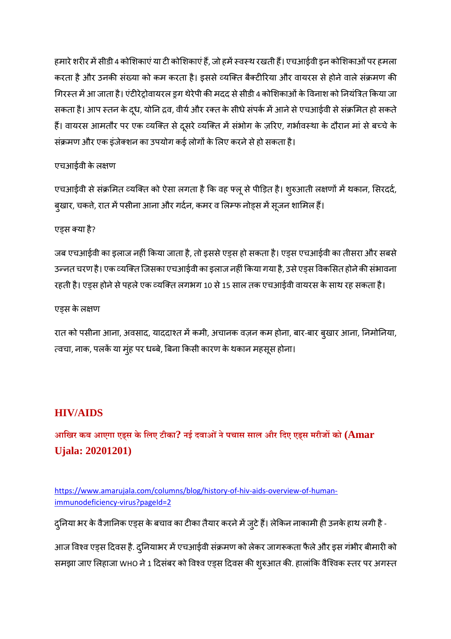हमारे शरीर में सीडी 4 कोशिकाएं या टी कोशिकाएं हैं, जो हमें स्वस्थ रखती हैं। एचआईवी इन कोशिकाओं पर हमला करता है और उनकी संख्या को कम करता है। इससे व्यक्ति बैक्टीरिया और वायरस से होने वाले संक्रमण की गिरस्त में आ जाता है। एंटीरेट्रोवायरल ड्रग थेरेपी की मदद से सीडी 4 कोशिकाओं के विनाश को नियंत्रित किया जा सकता है। आप स्तन के दूध, योनि द्रव, वीर्य और रक्त के सीधे संपर्क में आने से एचआईवी से संक्रमित हो सकते हैं। वायरस आमतौर पर एक व्यक्ति से दूसरे व्यक्ति में संभोग के ज़रिए, गर्भावस्था के दौरान मां से बच्चे के संक्रमण और एक इंजेक्शन का उपयोग कई लोगों के लिए करने से हो सकता है।

# एचआईवी के लक्षण

एचआईवी से संक्रमित व्यक्ति को ऐसा लगता है कि वह फ्लू से पीड़ित है। शुरुआती लक्षणों में थकान, सिरदर्द, बुखार, चकत्ते, रात में पसीना आना और गर्दन, कमर व लिम्फ नोड्स में सूजन शामिल हैं।

# एडस क्या है?

जब एचआईवी का इलाज नहीं किया जाता है, तो इससे एड़स हो सकता है। एड़स एचआईवी का तीसरा और सबसे उन्नत चरण है। एक व्यक्ति जिसका एचआईवी का इलाज नहीं किया गया है, उसे एड्स विकसित होने की संभावना रहती है। एड्स होने से पहले एक व्यक्ति लगभग 10 से 15 साल तक एचआईवी वायरस के साथ रह सकता है।

एडस के लक्षण

रात को पसीना आना, अवसाद, याददाश्त में कमी, अचानक वज़न कम होना, बार-बार बुखार आना, निमोनिया, त्वचा, नाक, पलकें या मुंह पर धब्बे, बिना किसी कारण के थकान महसूस होना।

# **HIV/AIDS**

**आिखर कब आएगा एड्स के िलए टीका? नई दवाओंनेपचास साल और िदए एड्स मरीजको (Amar Ujala: 20201201)**

https://www.amarujala.com/columns/blog/history-of-hiv-aids-overview-of-humanimmunodeficiency-virus?pageId=2

दुनिया भर के वैज्ञानिक एड्स के बचाव का टीका तैयार करने में जुटे हैं। लेकिन नाकामी ही उनके हाथ लगी है -

आज विश्व एड्स दिवस है. दुनियाभर में एचआईवी संक्रमण को लेकर जागरूकता फैले और इस गंभीर बीमारी को समझा जाए लिहाजा WHO ने 1 दिसंबर को विश्व एड्स दिवस की शुरुआत की. हालांकि वैश्विक स्तर पर अगस्त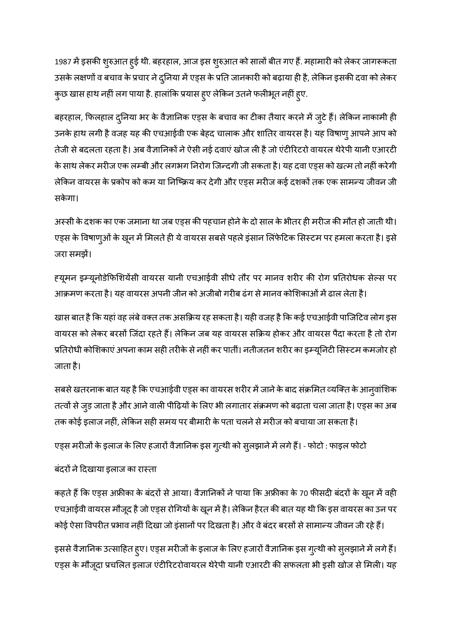1987 में इसकी शुरुआत हुई थी. बहरहाल, आज इस शुरुआत को सालों बीत गए हैं. महामारी को लेकर जागरूकता उसके लक्षणों व बचाव के प्रचार ने दुनिया में एड्स के प्रति जानकारी को बढ़ाया ही है, लेकिन इसकी दवा को लेकर कुछ खास हाथ नहीं लग पाया है. हालांकि प्रयास हुए लेकिन उतने फलीभूत नहीं हुए.

बहरहाल, फिलहाल दुनिया भर के वैज्ञानिक एड्स के बचाव का टीका तैयार करने में जुटे हैं। लेकिन नाकामी ही उनके हाथ लगी है वजह यह की एचआईवी एक बेहद चालाक और शातिर वायरस है। यह विषाण् आपने आप को तेजी से बदलता रहता है। अब वै ज्ञानिकों ने ऐसी नई दवाएं खोज ली है जो एंटीरिटरो वायरल थेरेपी यानी एआरटी के साथ लेकर मरीज एक लम्बी और लगभग निरोग जिन्दगी जी सकता है। यह दवा एड्स को खत्म तो नहीं करेगी लेकिन वायरस के प्रकोप को कम या निष्क्रिय कर देगी और एड्स मरीज कई दशकों तक एक सामन्य जीवन जी सकेगा।

अस्सी के दशक का एक जमाना था जब एड़स की पहचान होने के दो साल के भीतर ही मरीज की मौत हो जाती थी। एड्स के विषाणुओं के खून में मिलते ही ये वायरस सबसे पहले इंसान लिंफेटिक सिस्टम पर हमला करता है। इसे जरा समझ।

ह्यूमन इम्यूनोडेफिशियेंसी वायरस यानी एचआईवी सीधे तौर पर मानव शरीर की रोग प्रतिरोधक सेल्स पर आक्रमण करता है। यह वायरस अपनी जीन को अजीबो गरीब ढंग से मानव कोशिकाओं में ढाल लेता है।

खास बात है कि यहां वह लंबे वक्त तक असक्रिय रह सकता है। यही वजह है कि कई एचआईवी पाजिटिव लोग इस वायरस को लेकर बरसों जिंदा रहते हैं। लेकिन जब यह वायरस सक्रिय होकर और वायरस पैदा करता है तो रोग प्रतिरोधी कोशिकाएं अपना काम सही तरीके से नहीं कर पातीं। नतीजतन शरीर का इम्यूनिटी सिस्टम कमजोर हो जाता है।

सबसे खतरनाक बात यह है कि एचआईवी एड्स का वायरस शरीर में जाने के बाद संक्रमित व्यक्ति के आन् वांशिक तत्वों से जुड़ जाता है और आने वाली पीढ़ियों के लिए भी लगातार संक्रमण को बढ़ाता चला जाता है। एड्स का अब तक कोई इलाज नहीं, लेकिन सही समय पर बीमारी के पता चलने से मरीज को बचाया जा सकता है।

एड्स मरीजों के इलाज के लिए हजारों वैज्ञानिक इस गुत्थी को सुलझाने में लगे हैं। - फोटो : फाइल फोटो

#### बंदरों ने दिखाया इलाज का रास्ता

कहते हैं कि एड्स अफ्रीका के बंदरों से आया। वैज्ञानिकों ने पाया कि अफ्रीका के 70 फीसदी बंदरों के खून में वही एचआईवी वायरस मौजूद है जो एड्स रोगियों के खून में है। लेकिन हैरत की बात यह थी कि इस वायरस का उन पर कोई ऐसा विपरीत प्रभाव नहीं दिखा जो इंसानों पर दिखता है। और वे बंदर बरसों से सामान्य जीवन जी रहे हैं।

इससे वैज्ञानिक उत्साहित हुए। एड्स मरीजों के इलाज के लिए हजारों वैज्ञानिक इस गुत्थी को सुलझाने में लगे हैं। एड्स के मौजूदा प्रचलित इलाज एंटीरिटरोवायरल थेरेपी यानी एआरटी की सफलता भी इसी खोज से मिली। यह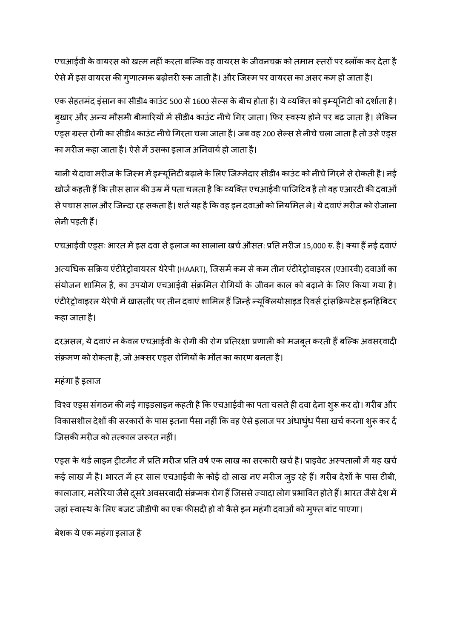एचआईवी के वायरस को खत्म नहीं करता बल्कि वह वायरस के जीवनचक्र को तमाम स्तरों पर ब्लॉक कर देता है

ऐसे में इस वायरस की ग्णात्मक बढ़ोतरी रुक जाती है। और जिस्म पर वायरस का असर कम हो जाता है।

एक सेहतमंद इंसान का सीडी4 काउंट 500 से 1600 सेल्स के बीच होता है। ये व्यक्ति को इम्यूनिटी को दर्शाता है। ब्खार और अन्य मौसमी बीमारियों में सीडी4 काउंट नीचे गिर जाता। फिर स्वस्थ होने पर बढ़ जाता है। लेकिन एड्स ग्रस्त रोगी का सीडी4 काउंट नीचे गिरता चला जाता है। जब वह 200 सेल्स से नीचे चला जाता है तो उसे एड्स का मरीज कहा जाता है। ऐसे में उसका इलाज अनिवार्य हो जाता है।

यानी ये दावा मरीज के जिस्म में इम्यूनिटी बढ़ाने के लिए जिम्मेदार सीडी4 काउंट को नीचे गिरने से रोकती है। नई खोजें कहती हैं कि तीस साल की उम्र में पता चलता है कि व्यक्ति एचआईवी पाजिटिव है तो वह एआरटी की दवाओं से पचास साल और जिन्दा रह सकता है। शर्त यह है कि वह इन दवाओं को नियमित ले। ये दवाएं मरीज को रोजाना लेनी पड़ती ह।

एचआईवी एड़सः भारत में इस दवा से इलाज का सालाना खर्च औसत: प्रति मरीज 15,000 रु. है। क्या हैं नई दवाएं

अत्यधिक सक्रिय एंटीरेट्रोवायरल थेरेपी (HAART), जिसमें कम से कम तीन एंटीरेट्रोवाइरल (एआरवी) दवाओं का संयोजन शामिल है, का उपयोग एचआईवी संक्रमित रोगियों के जीवन काल को बढ़ाने के लिए किया गया है। एंटीरेट्रोवाइरल थेरेपी में खासतौर पर तीन दवाएं शामिल हैं जिन्हें न्यूक्लियोसाइड रिवर्स ट्रांसक्रिपटेस इनहिबिटर कहा जाता है।

दरअसल, ये दवाएं न केवल एचआईवी के रोगी की रोग प्रतिरक्षा प्रणाली को मजबूत करती हैं बल्कि अवसरवादी संक्रमण को रोकता है, जो अक्सर एड्स रोगियों के मौत का कारण बनता है।

# महंगा हैइलाज

विश्व एड्स संगठन की नई गाइडलाइन कहती है कि एचआईवी का पता चलते ही दवा देना शुरू कर दो। गरीब और विकासशील देशों की सरकारों के पास इतना पैसा नहीं कि वह ऐसे इलाज पर अंधाध्ंध पैसा खर्च करना शुरू कर दें जिसकी मरीज को तत्काल जरूरत नहीं।

एड़स के थर्ड लाइन ट्रीटमेंट में प्रति मरीज प्रति वर्ष एक लाख का सरकारी खर्च है। प्राइवेट अस्पतालों में यह खर्च कई लाख में है। भारत में हर साल एचआईवी के कोई दो लाख नए मरीज जुड़ रहे हैं। गरीब देशों के पास टीबी, कालाजार, मलेरिया जैसे दूसरे अवसरवादी संक्रमक रोग हैं जिससे ज्यादा लोग प्रभावित होते हैं। भारत जैसे देश में जहां स्वास्थ के लिए बजट जीडीपी का एक फीसदी हो वो कैसे इन महंगी दवाओं को मुफ्त बांट पाएगा।

बेशक येएक महंगा इलाज है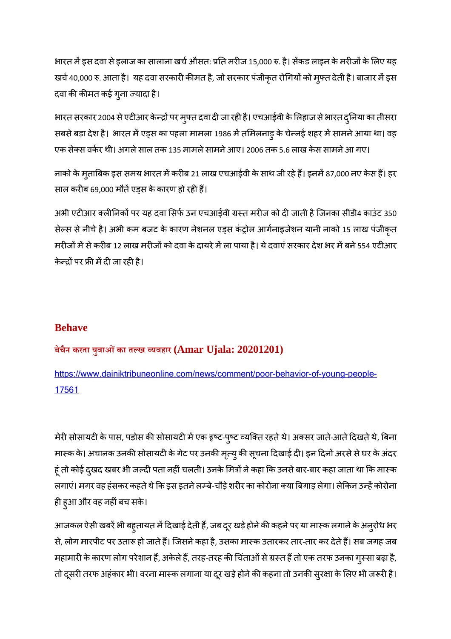भारत में इस दवा से इलाज का सालाना खर्च औसत: प्रति मरीज 15,000 रु. है। सेंकड लाइन के मरीजों के लिए यह खर्च 40,000 रु. आता है। यह दवा सरकारी कीमत है, जो सरकार पंजीकृत रोगियों को मुफ्त देती है। बाजार में इस दवा की कीमत कई गुना ज्यादा है।

भारत सरकार 2004 से एटीआर केन्द्रों पर मुफ्त दवा दी जा रही है। एचआईवी के लिहाज से भारत दुनिया का तीसरा सबसे बड़ा देश है। भारत में एड्स का पहला मामला 1986 में तमिलनाडु के चेन्नई शहर में सामने आया था। वह एक सेक्स वर्कर थी। अगले साल तक 135 मामले सामने आए। 2006 तक 5.6 लाख केस सामने आ गए।

नाको के मुताबिक इस समय भारत में करीब 21 लाख एचआईवी के साथ जी रहे हैं। इनमें 87,000 नए केस हैं। हर साल करीब 69,000 मौतें एडस के कारण हो रही हैं।

अभी एटीआर क्लीनिकों पर यह दवा सिर्फ उन एचआईवी ग्रस्त मरीज को दी जाती है जिनका सीडी4 काउंट 350 सेल्स से नीचे है। अभी कम बजट के कारण नेशनल एड्स कंट्रोल आर्गनाइजेशन यानी नाको 15 लाख पंजीकृत मरीजों में से करीब 12 लाख मरीजों को दवा के दायरे में ला पाया है। ये दवाएं सरकार देश भर में बने 554 एटीआर केन्द्रों पर फ्री में दी जा रही है।

# **Behave**

**बेचैन करता युवाओंका तख यवहार (Amar Ujala: 20201201)**

https://www.dainiktribuneonline.com/news/comment/poor-behavior-of-young-people-17561

मेरी सोसायटी के पास, पड़ोस की सोसायटी में एक ह़ष्ट-पुष्ट व्यक्ति रहते थे। अक्सर जाते-आते दिखते थे, बिना मास्क के। अचानक उनकी सोसायटी के गेट पर उनकी मृत्यु की सूचना दिखाई दी। इन दिनों अरसे से घर के अंदर हूं तो कोई दुखद खबर भी जल्दी पता नहीं चलती। उनके मित्रों ने कहा कि उनसे बार-बार कहा जाता था कि मास्क लगाएं। मगर वह हंसकर कहते थे कि इस इतने लम्बे-चौड़े शरीर का कोरोना क्या बिगाड़ लेगा। लेकिन उन्हें कोरोना ही हुआ और वह नहीं बच सके।

आजकल ऐसी खबरें भी बहुतायत में दिखाई देती हैं, जब दूर खड़े होने की कहने पर या मास्क लगाने के अनुरोध भर से, लोग मारपीट पर उतारू हो जाते हैं। जिसने कहा है, उसका मास्क उतारकर तार-तार कर देते हैं। सब जगह जब महामारी के कारण लोग परेशान हैं, अकेले हैं, तरह-तरह की चिंताओं से ग्रस्त हैं तो एक तरफ उनका गुस्सा बढ़ा है, तो दूसरी तरफ अहंकार भी। वरना मास्क लगाना या दूर खड़े होने की कहना तो उनकी सुरक्षा के लिए भी जरूरी है।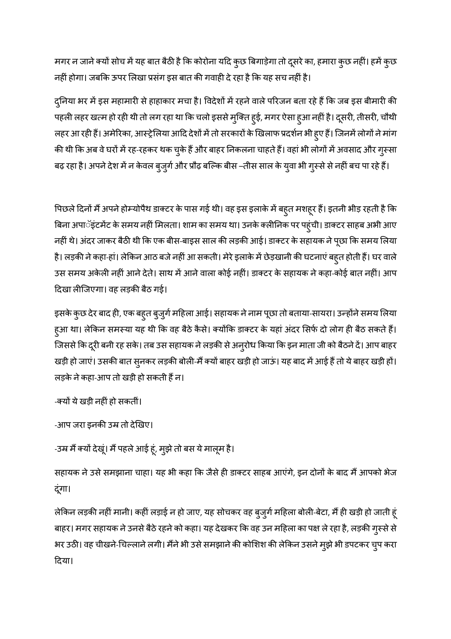मगर न जाने क्यों सोच में यह बात बैठी है कि कोरोना यदि कुछ बिगाड़ेगा तो दूसरे का, हमारा कुछ नहीं। हमें कुछ नहीं होगा। जबकि ऊपर लिखा प्रसंग इस बात की गवाही दे रहा है कि यह सच नहीं है।

दुनिया भर में इस महामारी से हाहाकार मचा है। विदेशों में रहने वाले परिजन बता रहे हैं कि जब इस बीमारी की पहली लहर खत्म हो रही थी तो लग रहा था कि चलो इससे मुक्ति हुई, मगर ऐसा हुआ नहीं है। दूसरी, तीसरी, चौथी लहर आ रही हैं। अमेरिका, आस्ट्रेलिया आदि देशों में तो सरकारों के खिलाफ प्रदर्शन भी हुए हैं। जिनमें लोगों ने मांग की थी कि अब वे घरों में रह-रहकर थक चुके हैं और बाहर निकलना चाहते हैं। वहां भी लोगों में अवसाद और गुस्सा बढ़ रहा है। अपने देश में न केवल बुजुर्ग और प्रौढ़ बल्कि बीस –तीस साल के युवा भी गुस्से से नहीं बच पा रहे हैं।

पिछले दिनों मैं अपने होम्योपैथ डाक्टर के पास गई थी। वह इस इलाके में बहुत मशहूर हैं। इतनी भीड़ रहती है कि बिना अपाॅडंटमेंट के समय नहीं मिलता। शाम का समय था। उनके क्लीनिक पर पहुंची। डाक्टर साहब अभी आए नहीं थे। अंदर जाकर बैठी थी कि एक बीस-बाइस साल की लड़की आई। डाक्टर के सहायक ने पूछा कि समय लिया है। लड़की ने कहा-हां। लेकिन आठ बजे नहीं आ सकती। मेरे इलाके में छेड़खानी की घटनाएं बहुत होती हैं। घर वाले उस समय अकेली नहीं आने देते। साथ में आने वाला कोई नहीं। डाक्टर के सहायक ने कहा-कोई बात नहीं। आप दिखा लीजिएगा। वह लड़की बैठ गई।

इसके कुछ देर बाद ही, एक बहुत बुजुर्ग महिला आई। सहायक ने नाम पूछा तो बताया-सायरा। उन्होंने समय लिया ह्आ था। लेकिन समस्या यह थी कि वह बैठे कैसे। क्योंकि डाक्टर के यहां अंदर सिर्फ दो लोग ही बैठ सकते हैं। जिससे कि दूरी बनी रह सके। तब उस सहायक ने लड़की से अनुरोध किया कि इन माता जी को बैठने दें। आप बाहर खड़ी हो जाएं। उसकी बात सुनकर लड़की बोली-मैं क्यों बाहर खड़ी हो जाऊं। यह बाद में आई हैं तो ये बाहर खड़ी हों। लड़के ने कहा-आप तो खड़ी हो सकती हैं न।

-क्यों ये खड़ी नहीं हो सकतीं।

-आप जरा इनकी उम्र तो देखिए।

-उम्र मैं क्यों देखूं। मैं पहले आई हूं, मुझे तो बस ये मालूम है।

सहायक ने उसे समझाना चाहा। यह भी कहा कि जैसे ही डाक्टर साहब आएंगे, इन दोनों के बाद मैं आपको भेज दंगा।

लेकिन लड़की नहीं मानी। कहीं लड़ाई न हो जाए, यह सोचकर वह बुजुर्ग महिला बोली-बेटा, मैं ही खड़ी हो जाती हूं बाहर। मगर सहायक ने उनसे बैठे रहने को कहा। यह देखकर कि वह उन महिला का पक्ष ले रहा है, लड़की गुस्से से भर उठी। वह चीखने-चिल्लाने लगी। मैंने भी उसे समझाने की कोशिश की लेकिन उसने मुझे भी डपटकर चुप करा दया।